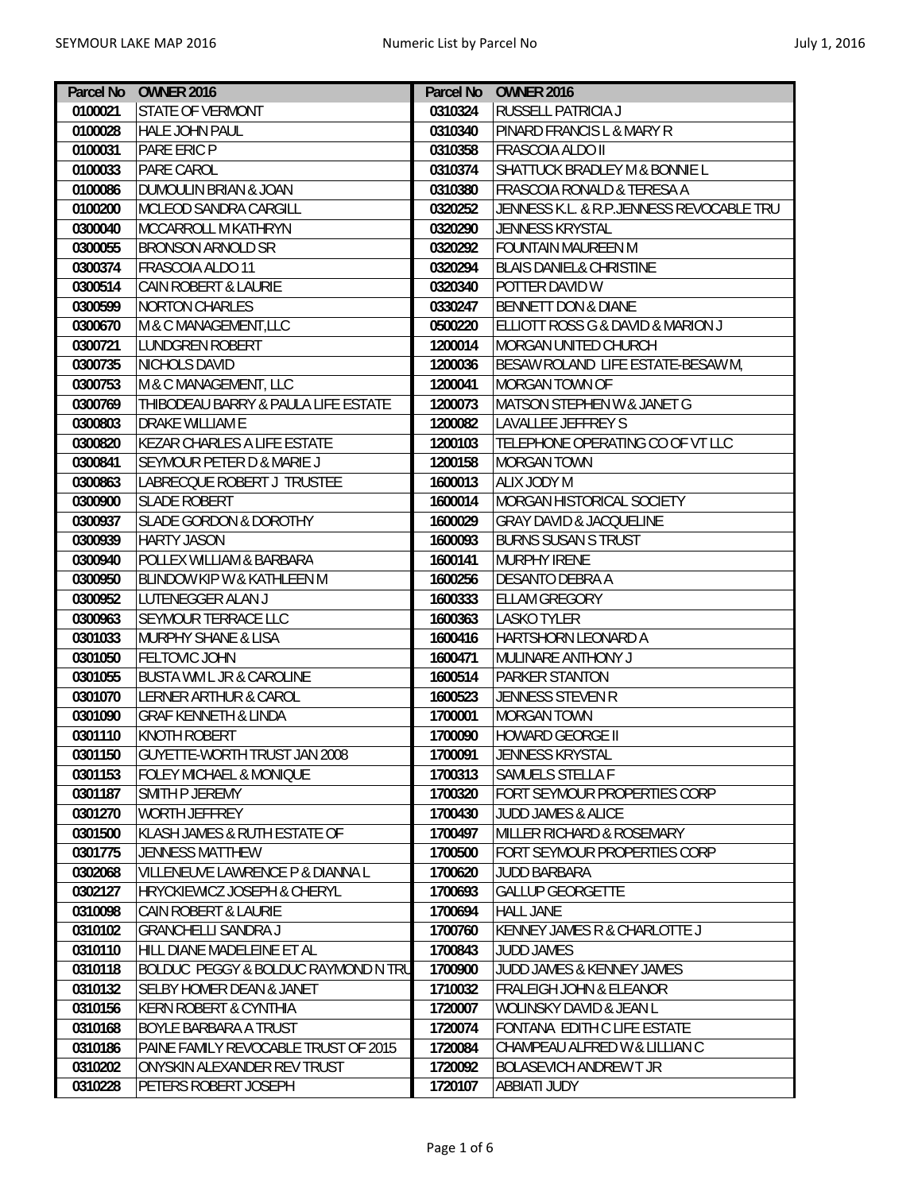| Parcel No | <b>OWNER 2016</b>                      |         | Parcel No OWNER 2016                     |
|-----------|----------------------------------------|---------|------------------------------------------|
| 0100021   | <b>STATE OF VERMONT</b>                | 0310324 | <b>RUSSELL PATRICIA J</b>                |
| 0100028   | <b>HALE JOHN PAUL</b>                  | 0310340 | PINARD FRANCIS L & MARY R                |
| 0100031   | PARE ERIC P                            | 0310358 | FRASCOIA ALDO II                         |
| 0100033   | PARE CAROL                             | 0310374 | SHATTUCK BRADLEY M & BONNIE L            |
| 0100086   | DUMOULIN BRIAN & JOAN                  | 0310380 | FRASCOIA RONALD & TERESA A               |
| 0100200   | MCLEOD SANDRA CARGILL                  | 0320252 | JENNESS K.L. & R.P.JENNESS REVOCABLE TRU |
| 0300040   | <b>MCCARROLL M KATHRYN</b>             | 0320290 | <b>JENNESS KRYSTAL</b>                   |
| 0300055   | <b>BRONSON ARNOLD SR</b>               | 0320292 | FOUNTAIN MAUREEN M                       |
| 0300374   | FRASCOIA ALDO 11                       | 0320294 | <b>BLAIS DANIEL&amp; CHRISTINE</b>       |
| 0300514   | CAIN ROBERT & LAURIE                   | 0320340 | POTTER DAVID W                           |
| 0300599   | <b>NORTON CHARLES</b>                  | 0330247 | <b>BENNETT DON &amp; DIANE</b>           |
| 0300670   | M & C MANAGEMENT, LLC                  | 0500220 | ELLIOTT ROSS G & DAVID & MARION J        |
| 0300721   | <b>LUNDGREN ROBERT</b>                 | 1200014 | MORGAN UNITED CHURCH                     |
| 0300735   | <b>NICHOLS DAVID</b>                   | 1200036 | BESAW ROLAND LIFE ESTATE-BESAW M,        |
| 0300753   | M & C MANAGEMENT, LLC                  | 1200041 | MORGAN TOWN OF                           |
| 0300769   | THIBODEAU BARRY & PAULA LIFE ESTATE    | 1200073 | MATSON STEPHEN W & JANET G               |
| 0300803   | DRAKE WILLIAM E                        | 1200082 | LAVALLEE JEFFREY S                       |
| 0300820   | <b>KEZAR CHARLES A LIFE ESTATE</b>     | 1200103 | TELEPHONE OPERATING CO OF VT LLC         |
| 0300841   | SEYMOUR PETER D & MARIE J              | 1200158 | <b>MORGAN TOWN</b>                       |
| 0300863   | LABRECQUE ROBERT J TRUSTEE             | 1600013 | ALIX JODY M                              |
| 0300900   | <b>SLADE ROBERT</b>                    | 1600014 | MORGAN HISTORICAL SOCIETY                |
| 0300937   | <b>SLADE GORDON &amp; DOROTHY</b>      | 1600029 | <b>GRAY DAVID &amp; JACQUELINE</b>       |
| 0300939   | <b>HARTY JASON</b>                     | 1600093 | <b>BURNS SUSAN S TRUST</b>               |
| 0300940   | POLLEX WILLIAM & BARBARA               | 1600141 | MURPHY IRENE                             |
| 0300950   | <b>BLINDOW KIP W &amp; KATHLEEN M</b>  | 1600256 | DESANTO DEBRA A                          |
| 0300952   | <b>LUTENEGGER ALAN J</b>               | 1600333 | <b>ELLAM GREGORY</b>                     |
| 0300963   | <b>SEYMOUR TERRACE LLC</b>             | 1600363 | <b>LASKO TYLER</b>                       |
| 0301033   | <b>MURPHY SHANE &amp; LISA</b>         | 1600416 | HARTSHORN LEONARD A                      |
| 0301050   | FELTOVIC JOHN                          | 1600471 | MULINARE ANTHONY J                       |
| 0301055   | <b>BUSTA WM L JR &amp; CAROLINE</b>    | 1600514 | PARKER STANTON                           |
| 0301070   | LERNER ARTHUR & CAROL                  | 1600523 | JENNESS STEVEN R                         |
| 0301090   | <b>GRAF KENNETH &amp; LINDA</b>        | 1700001 | <b>MORGAN TOWN</b>                       |
| 0301110   | <b>KNOTH ROBERT</b>                    | 1700090 | HOWARD GEORGE II                         |
| 0301150   | <b>GUYETTE-WORTH TRUST JAN 2008</b>    | 1700091 | JENNESS KRYSTAL                          |
| 0301153   | <b>FOLEY MICHAEL &amp; MONIQUE</b>     | 1700313 | SAMUELS STELLA F                         |
| 0301187   | SMITH P JEREMY                         | 1700320 | FORT SEYMOUR PROPERTIES CORP             |
| 0301270   | <b>WORTH JEFFREY</b>                   | 1700430 | <b>JUDD JAMES &amp; ALICE</b>            |
| 0301500   | KLASH JAMES & RUTH ESTATE OF           | 1700497 | MILLER RICHARD & ROSEMARY                |
| 0301775   | <b>JENNESS MATTHEW</b>                 | 1700500 | FORT SEYMOUR PROPERTIES CORP             |
| 0302068   | VILLENEUVE LAWRENCE P & DIANNA L       | 1700620 | <b>JUDD BARBARA</b>                      |
| 0302127   | <b>HRYCKIEWICZ JOSEPH &amp; CHERYL</b> | 1700693 | <b>GALLUP GEORGETTE</b>                  |
| 0310098   | CAIN ROBERT & LAURIE                   | 1700694 | <b>HALL JANE</b>                         |
| 0310102   | <b>GRANCHELLI SANDRA J</b>             | 1700760 | KENNEY JAMES R & CHARLOTTE J             |
| 0310110   | HILL DIANE MADELEINE ET AL             | 1700843 | <b>JUDD JAMES</b>                        |
| 0310118   | BOLDUC PEGGY & BOLDUC RAYMOND N TRU    | 1700900 | JUDD JAMES & KENNEY JAMES                |
| 0310132   | <b>SELBY HOMER DEAN &amp; JANET</b>    | 1710032 | <b>FRALEIGH JOHN &amp; ELEANOR</b>       |
| 0310156   | <b>KERN ROBERT &amp; CYNTHIA</b>       | 1720007 | WOLINSKY DAVID & JEAN L                  |
| 0310168   | <b>BOYLE BARBARA A TRUST</b>           | 1720074 | FONTANA EDITH C LIFE ESTATE              |
| 0310186   | PAINE FAMILY REVOCABLE TRUST OF 2015   | 1720084 | CHAMPEAU ALFRED W & LILLIAN C            |
| 0310202   | ONYSKIN ALEXANDER REV TRUST            | 1720092 | <b>BOLASEVICH ANDREW T JR</b>            |
| 0310228   | PETERS ROBERT JOSEPH                   | 1720107 | ABBIATI JUDY                             |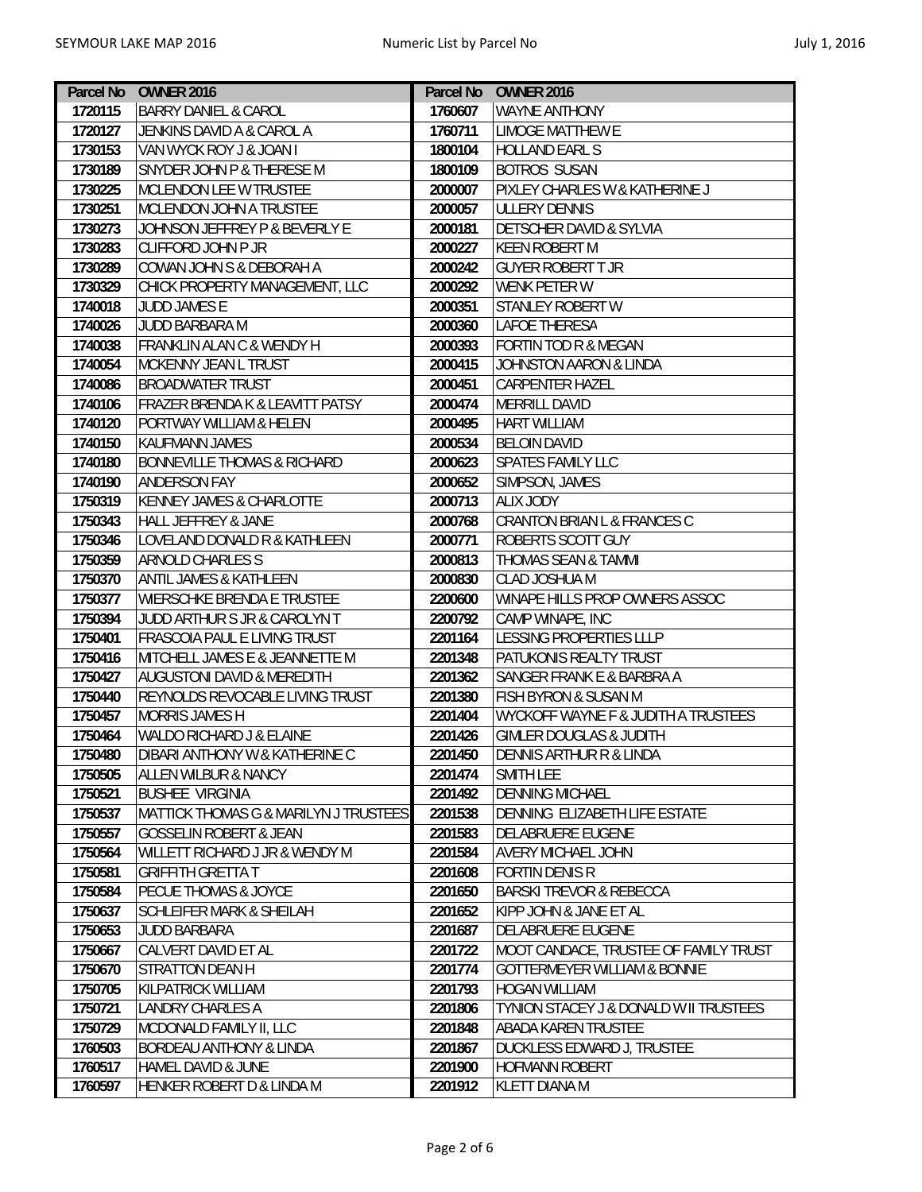|         | Parcel No OWNER 2016                   |         | Parcel No OWNER 2016                           |
|---------|----------------------------------------|---------|------------------------------------------------|
| 1720115 | <b>BARRY DANIEL &amp; CAROL</b>        | 1760607 | <b>WAYNE ANTHONY</b>                           |
| 1720127 | JENKINS DAVID A & CAROL A              | 1760711 | <b>LIMOGE MATTHEW E</b>                        |
| 1730153 | VAN WYCK ROY J & JOAN I                | 1800104 | <b>HOLLAND EARL S</b>                          |
| 1730189 | SNYDER JOHN P & THERESE M              | 1800109 | <b>BOTROS SUSAN</b>                            |
| 1730225 | MCLENDON LEE W TRUSTEE                 | 2000007 | PIXLEY CHARLES W & KATHERINE J                 |
| 1730251 | MCLENDON JOHN A TRUSTEE                | 2000057 | <b>ULLERY DENNIS</b>                           |
| 1730273 | JOHNSON JEFFREY P & BEVERLY E          | 2000181 | DETSCHER DAVID & SYLVIA                        |
| 1730283 | <b>CLIFFORD JOHN P JR</b>              | 2000227 | <b>KEEN ROBERT M</b>                           |
| 1730289 | COWAN JOHN S & DEBORAH A               | 2000242 | <b>GUYER ROBERT T JR</b>                       |
| 1730329 | CHICK PROPERTY MANAGEMENT, LLC         | 2000292 | <b>WENK PETER W</b>                            |
| 1740018 | <b>JUDD JAMES E</b>                    | 2000351 | <b>STANLEY ROBERT W</b>                        |
| 1740026 | JUDD BARBARA M                         | 2000360 | <b>LAFOE THERESA</b>                           |
| 1740038 | FRANKLIN ALAN C & WENDY H              | 2000393 | <b>FORTIN TOD R &amp; MEGAN</b>                |
| 1740054 | <b>MCKENNY JEAN L TRUST</b>            | 2000415 | JOHNSTON AARON & LINDA                         |
| 1740086 | <b>BROADWATER TRUST</b>                | 2000451 | <b>CARPENTER HAZEL</b>                         |
| 1740106 | FRAZER BRENDA K & LEAVITT PATSY        | 2000474 | <b>MERRILL DAVID</b>                           |
| 1740120 | PORTWAY WILLIAM & HELEN                | 2000495 | <b>HART WILLIAM</b>                            |
| 1740150 | KAUFMANN JAMES                         | 2000534 | <b>BELOIN DAVID</b>                            |
| 1740180 | <b>BONNEVILLE THOMAS &amp; RICHARD</b> | 2000623 | <b>SPATES FAMILY LLC</b>                       |
| 1740190 | <b>ANDERSON FAY</b>                    | 2000652 | SIMPSON, JAMES                                 |
| 1750319 | <b>KENNEY JAMES &amp; CHARLOTTE</b>    | 2000713 | <b>ALIX JODY</b>                               |
| 1750343 | <b>HALL JEFFREY &amp; JANE</b>         | 2000768 | CRANTON BRIAN L & FRANCES C                    |
| 1750346 | LOVELAND DONALD R & KATHLEEN           | 2000771 | ROBERTS SCOTT GUY                              |
| 1750359 | <b>ARNOLD CHARLES S</b>                | 2000813 | THOMAS SEAN & TAMMI                            |
| 1750370 | <b>ANTIL JAMES &amp; KATHLEEN</b>      | 2000830 | CLAD JOSHUA M                                  |
| 1750377 | WIERSCHKE BRENDA E TRUSTEE             | 2200600 | WINAPE HILLS PROP OWNERS ASSOC                 |
| 1750394 | JUDD ARTHUR S JR & CAROLYN T           | 2200792 | CAMP WINAPE, INC                               |
| 1750401 | <b>FRASCOIA PAUL E LIVING TRUST</b>    | 2201164 | LESSING PROPERTIES LLLP                        |
| 1750416 | MITCHELL JAMES E & JEANNETTE M         | 2201348 | PATUKONIS REALTY TRUST                         |
| 1750427 | <b>AUGUSTONI DAVID &amp; MEREDITH</b>  | 2201362 | SANGER FRANK E & BARBRA A                      |
| 1750440 | REYNOLDS REVOCABLE LIVING TRUST        | 2201380 | <b>FISH BYRON &amp; SUSAN M</b>                |
| 1750457 | <b>MORRIS JAMES H</b>                  | 2201404 | <b>WYCKOFF WAYNE F &amp; JUDITH A TRUSTEES</b> |
| 1750464 | <b>WALDO RICHARD J &amp; ELAINE</b>    | 2201426 | <b>GIMLER DOUGLAS &amp; JUDITH</b>             |
| 1750480 | DIBARI ANTHONY W & KATHERINE C         | 2201450 | <b>DENNIS ARTHUR R &amp; LINDA</b>             |
| 1750505 | ALLEN WILBUR & NANCY                   | 2201474 | SMITH LEE                                      |
| 1750521 | <b>BUSHEE VIRGINIA</b>                 | 2201492 | <b>DENNING MICHAEL</b>                         |
| 1750537 | MATTICK THOMAS G & MARILYN J TRUSTEES  | 2201538 | DENNING ELIZABETH LIFE ESTATE                  |
| 1750557 | <b>GOSSELIN ROBERT &amp; JEAN</b>      | 2201583 | DELABRUERE EUGENE                              |
| 1750564 | WILLETT RICHARD J JR & WENDY M         | 2201584 | <b>AVERY MICHAEL JOHN</b>                      |
| 1750581 | <b>GRIFFITH GRETTA T</b>               | 2201608 | <b>FORTIN DENIS R</b>                          |
| 1750584 | PECUE THOMAS & JOYCE                   | 2201650 | <b>BARSKI TREVOR &amp; REBECCA</b>             |
| 1750637 | SCHLEIFER MARK & SHEILAH               | 2201652 | KIPP JOHN & JANE ET AL                         |
| 1750653 | <b>JUDD BARBARA</b>                    | 2201687 | DELABRUERE EUGENE                              |
| 1750667 | CALVERT DAVID ET AL                    | 2201722 | MOOT CANDACE, TRUSTEE OF FAMILY TRUST          |
| 1750670 | STRATTON DEAN H                        | 2201774 | <b>GOTTERMEYER WILLIAM &amp; BONNIE</b>        |
| 1750705 | KILPATRICK WILLIAM                     | 2201793 | <b>HOGAN WILLIAM</b>                           |
| 1750721 | LANDRY CHARLES A                       | 2201806 | TYNION STACEY J & DONALD W II TRUSTEES         |
| 1750729 | MCDONALD FAMILY II, LLC                | 2201848 | ABADA KAREN TRUSTEE                            |
| 1760503 | BORDEAU ANTHONY & LINDA                | 2201867 | <b>DUCKLESS EDWARD J, TRUSTEE</b>              |
| 1760517 | HAMEL DAVID & JUNE                     | 2201900 | <b>HOFMANN ROBERT</b>                          |
| 1760597 | HENKER ROBERT D & LINDA M              | 2201912 | <b>KLETT DIANA M</b>                           |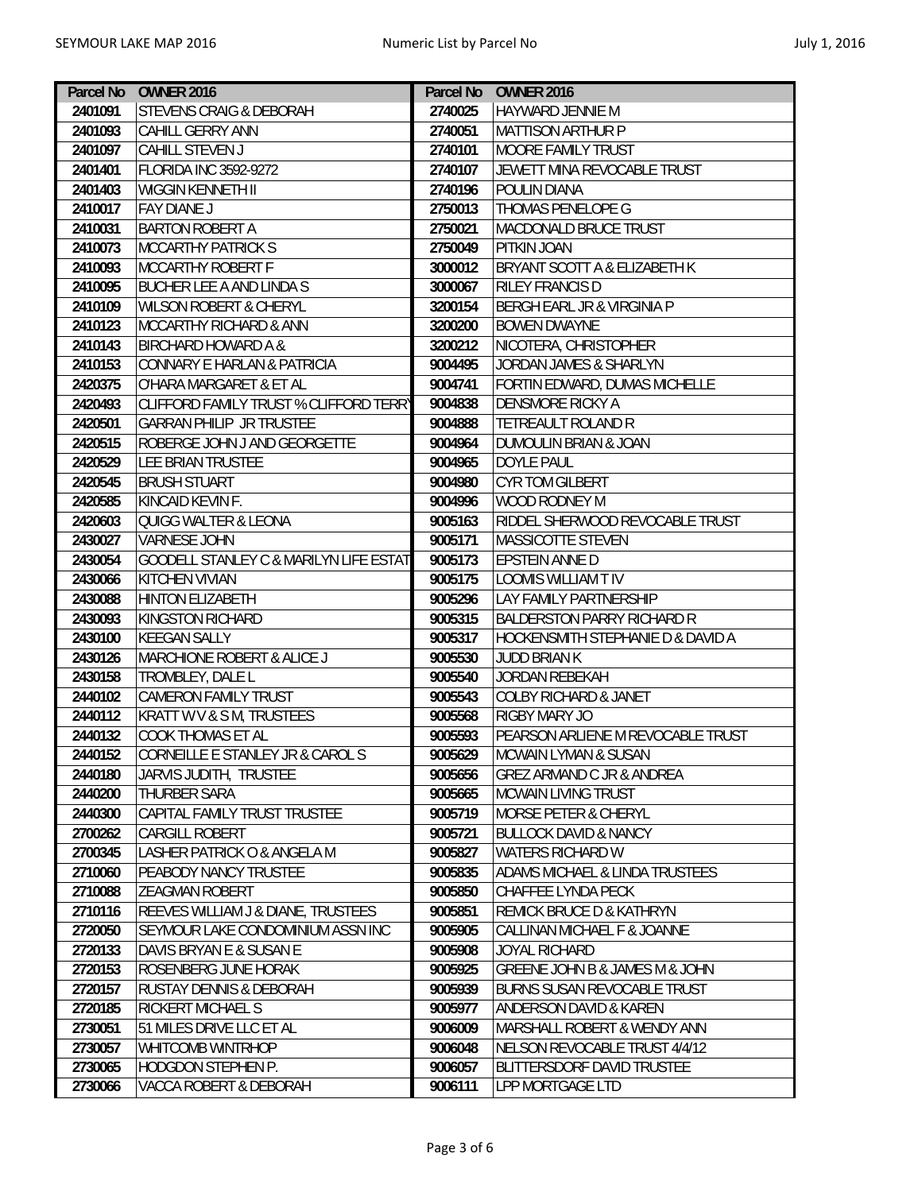| Parcel No | <b>OWNER 2016</b>                                 |         | Parcel No OWNER 2016                    |
|-----------|---------------------------------------------------|---------|-----------------------------------------|
| 2401091   | <b>STEVENS CRAIG &amp; DEBORAH</b>                | 2740025 | HAYWARD JENNIE M                        |
| 2401093   | <b>CAHILL GERRY ANN</b>                           | 2740051 | <b>MATTISON ARTHUR P</b>                |
| 2401097   | CAHILL STEVEN J                                   | 2740101 | MOORE FAMILY TRUST                      |
| 2401401   | <b>FLORIDA INC 3592-9272</b>                      | 2740107 | JEWETT MINA REVOCABLE TRUST             |
| 2401403   | WIGGIN KENNETH II                                 | 2740196 | POULIN DIANA                            |
| 2410017   | <b>FAY DIANE J</b>                                | 2750013 | <b>THOMAS PENELOPE G</b>                |
| 2410031   | <b>BARTON ROBERT A</b>                            | 2750021 | <b>MACDONALD BRUCE TRUST</b>            |
| 2410073   | <b>MCCARTHY PATRICK S</b>                         | 2750049 | PITKIN JOAN                             |
| 2410093   | <b>MCCARTHY ROBERT F</b>                          | 3000012 | <b>BRYANT SCOTT A &amp; ELIZABETH K</b> |
| 2410095   | <b>BUCHER LEE A AND LINDA S</b>                   | 3000067 | <b>RILEY FRANCIS D</b>                  |
| 2410109   | <b>WILSON ROBERT &amp; CHERYL</b>                 | 3200154 | BERGH EARL JR & VIRGINIA P              |
| 2410123   | <b>MCCARTHY RICHARD &amp; ANN</b>                 | 3200200 | <b>BOWEN DWAYNE</b>                     |
| 2410143   | <b>BIRCHARD HOWARD A &amp;</b>                    | 3200212 | NICOTERA, CHRISTOPHER                   |
| 2410153   | CONNARY E HARLAN & PATRICIA                       | 9004495 | JORDAN JAMES & SHARLYN                  |
| 2420375   | O'HARA MARGARET & ET AL                           | 9004741 | FORTIN EDWARD, DUMAS MICHELLE           |
| 2420493   | CLIFFORD FAMILY TRUST % CLIFFORD TERRY            | 9004838 | <b>DENSMORE RICKY A</b>                 |
| 2420501   | <b>GARRAN PHILIP JR TRUSTEE</b>                   | 9004888 | TETREAULT ROLAND R                      |
| 2420515   | ROBERGE JOHN J AND GEORGETTE                      | 9004964 | DUMOULIN BRIAN & JOAN                   |
| 2420529   | LEE BRIAN TRUSTEE                                 | 9004965 | <b>DOYLE PAUL</b>                       |
| 2420545   | <b>BRUSH STUART</b>                               | 9004980 | <b>CYR TOM GILBERT</b>                  |
| 2420585   | KINCAID KEVIN F.                                  | 9004996 | WOOD RODNEY M                           |
| 2420603   | QUIGG WALTER & LEONA                              | 9005163 | RIDDEL SHERWOOD REVOCABLE TRUST         |
| 2430027   | <b>VARNESE JOHN</b>                               | 9005171 | MASSICOTTE STEVEN                       |
| 2430054   | <b>GOODELL STANLEY C &amp; MARILYN LIFE ESTAT</b> | 9005173 | <b>EPSTEIN ANNE D</b>                   |
| 2430066   | <b>KITCHEN VIVIAN</b>                             | 9005175 | <b>LOOMIS WILLIAM T IV</b>              |
| 2430088   | <b>HINTON ELIZABETH</b>                           | 9005296 | <b>LAY FAMILY PARTNERSHIP</b>           |
| 2430093   | <b>KINGSTON RICHARD</b>                           | 9005315 | <b>BALDERSTON PARRY RICHARD R</b>       |
| 2430100   | <b>KEEGAN SALLY</b>                               | 9005317 | HOCKENSMITH STEPHANIE D & DAVID A       |
| 2430126   | <b>MARCHIONE ROBERT &amp; ALICE J</b>             | 9005530 | <b>JUDD BRIAN K</b>                     |
| 2430158   | TROMBLEY, DALE L                                  | 9005540 | <b>JORDAN REBEKAH</b>                   |
| 2440102   | <b>CAMERON FAMILY TRUST</b>                       | 9005543 | <b>COLBY RICHARD &amp; JANET</b>        |
| 2440112   | <b>KRATT W V &amp; S M, TRUSTEES</b>              | 9005568 | RIGBY MARY JO                           |
| 2440132   | <b>COOK THOMAS ET AL</b>                          | 9005593 | PEARSON ARLIENE M REVOCABLE TRUST       |
| 2440152   | CORNEILLE E STANLEY JR & CAROL S                  | 9005629 | <b>MCWAIN LYMAN &amp; SUSAN</b>         |
| 2440180   | JARVIS JUDITH, TRUSTEE                            | 9005656 | GREZ ARMAND C JR & ANDREA               |
| 2440200   | THURBER SARA                                      | 9005665 | <b>MCWAIN LIVING TRUST</b>              |
| 2440300   | CAPITAL FAMILY TRUST TRUSTEE                      | 9005719 | <b>MORSE PETER &amp; CHERYL</b>         |
| 2700262   | CARGILL ROBERT                                    | 9005721 | <b>BULLOCK DAVID &amp; NANCY</b>        |
| 2700345   | LASHER PATRICK O & ANGELA M                       | 9005827 | WATERS RICHARD W                        |
| 2710060   | <b>PEABODY NANCY TRUSTEE</b>                      | 9005835 | ADAMS MICHAEL & LINDA TRUSTEES          |
| 2710088   | <b>ZEAGMAN ROBERT</b>                             | 9005850 | CHAFFEE LYNDA PECK                      |
| 2710116   | REEVES WILLIAM J & DIANE, TRUSTEES                | 9005851 | REMICK BRUCE D & KATHRYN                |
| 2720050   | SEYMOUR LAKE CONDOMINIUM ASSN INC                 | 9005905 | CALLINAN MICHAEL F & JOANNE             |
| 2720133   | DAVIS BRYAN E & SUSAN E                           | 9005908 | JOYAL RICHARD                           |
| 2720153   | ROSENBERG JUNE HORAK                              | 9005925 | GREENE JOHN B & JAMES M & JOHN          |
| 2720157   | <b>RUSTAY DENNIS &amp; DEBORAH</b>                | 9005939 | <b>BURNS SUSAN REVOCABLE TRUST</b>      |
| 2720185   | <b>RICKERT MICHAEL S</b>                          | 9005977 | ANDERSON DAVID & KAREN                  |
| 2730051   | 51 MILES DRIVE LLC ET AL                          | 9006009 | MARSHALL ROBERT & WENDY ANN             |
| 2730057   | WHITCOMB WINTRHOP                                 | 9006048 | NELSON REVOCABLE TRUST 4/4/12           |
| 2730065   | HODGDON STEPHEN P.                                | 9006057 | BLITTERSDORF DAVID TRUSTEE              |
| 2730066   | VACCA ROBERT & DEBORAH                            | 9006111 | LPP MORTGAGE LTD                        |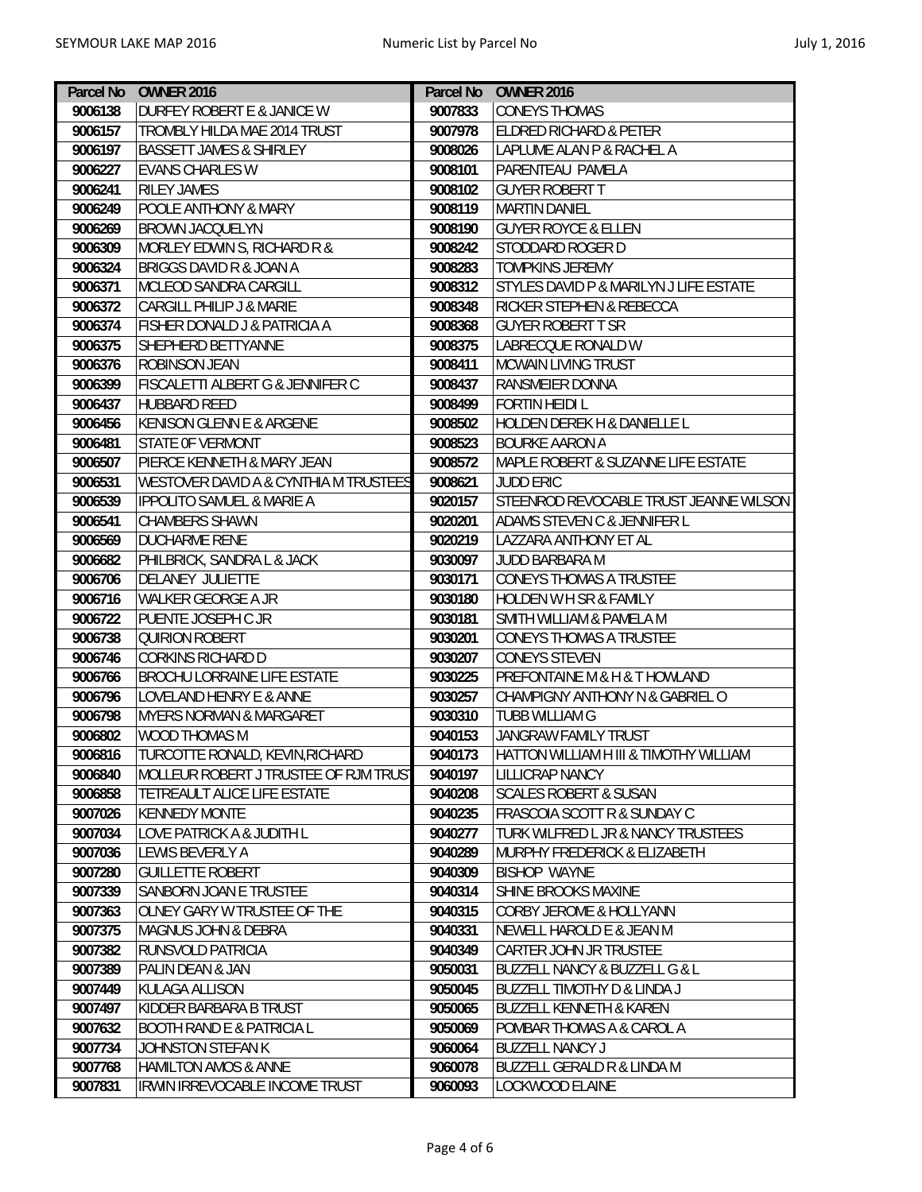|         | Parcel No OWNER 2016                             |         | Parcel No OWNER 2016                             |
|---------|--------------------------------------------------|---------|--------------------------------------------------|
| 9006138 | DURFEY ROBERT E & JANICE W                       | 9007833 | <b>CONEYS THOMAS</b>                             |
| 9006157 | TROMBLY HILDA MAE 2014 TRUST                     | 9007978 | <b>ELDRED RICHARD &amp; PETER</b>                |
| 9006197 | <b>BASSETT JAMES &amp; SHIRLEY</b>               | 9008026 | LAPLUME ALAN P & RACHEL A                        |
| 9006227 | <b>EVANS CHARLES W</b>                           | 9008101 | PARENTEAU PAMELA                                 |
| 9006241 | <b>RILEY JAMES</b>                               | 9008102 | <b>GUYER ROBERT T</b>                            |
| 9006249 | POOLE ANTHONY & MARY                             | 9008119 | <b>MARTIN DANIEL</b>                             |
| 9006269 | <b>BROWN JACQUELYN</b>                           | 9008190 | <b>GUYER ROYCE &amp; ELLEN</b>                   |
| 9006309 | MORLEY EDWIN S, RICHARD R &                      | 9008242 | STODDARD ROGER D                                 |
| 9006324 | <b>BRIGGS DAVID R &amp; JOAN A</b>               | 9008283 | <b>TOMPKINS JEREMY</b>                           |
| 9006371 | <b>MCLEOD SANDRA CARGILL</b>                     | 9008312 | STYLES DAVID P & MARILYN J LIFE ESTATE           |
| 9006372 | <b>CARGILL PHILIP J &amp; MARIE</b>              | 9008348 | RICKER STEPHEN & REBECCA                         |
| 9006374 | <b>FISHER DONALD J &amp; PATRICIA A</b>          | 9008368 | <b>GUYER ROBERT T SR</b>                         |
| 9006375 | SHEPHERD BETTYANNE                               | 9008375 | LABRECQUE RONALD W                               |
| 9006376 | <b>ROBINSON JEAN</b>                             | 9008411 | <b>MCWAIN LIVING TRUST</b>                       |
| 9006399 | <b>FISCALETTI ALBERT G &amp; JENNIFER C</b>      | 9008437 | <b>RANSMEIER DONNA</b>                           |
| 9006437 | <b>HUBBARD REED</b>                              | 9008499 | <b>FORTIN HEIDI L</b>                            |
| 9006456 | <b>KENISON GLENN E &amp; ARGENE</b>              | 9008502 | HOLDEN DEREK H & DANIELLE L                      |
| 9006481 | <b>STATE OF VERMONT</b>                          | 9008523 | <b>BOURKE AARON A</b>                            |
| 9006507 | PIERCE KENNETH & MARY JEAN                       | 9008572 | MAPLE ROBERT & SUZANNE LIFE ESTATE               |
| 9006531 | <b>WESTOVER DAVID A &amp; CYNTHIA M TRUSTEES</b> | 9008621 | <b>JUDD ERIC</b>                                 |
| 9006539 | <b>IPPOLITO SAMUEL &amp; MARIE A</b>             | 9020157 | STEENROD REVOCABLE TRUST JEANNE WILSON           |
| 9006541 | <b>CHAMBERS SHAWN</b>                            | 9020201 | ADAMS STEVEN C & JENNIFER L                      |
| 9006569 | <b>DUCHARME RENE</b>                             | 9020219 | LAZZARA ANTHONY ET AL                            |
| 9006682 | PHILBRICK, SANDRA L & JACK                       | 9030097 | JUDD BARBARA M                                   |
| 9006706 | DELANEY JULIETTE                                 | 9030171 | CONEYS THOMAS A TRUSTEE                          |
| 9006716 | <b>WALKER GEORGE A JR</b>                        | 9030180 | <b>HOLDEN W H SR &amp; FAMILY</b>                |
| 9006722 | <b>PUENTE JOSEPH C JR</b>                        | 9030181 | <b>SMITH WILLIAM &amp; PAMELA M</b>              |
| 9006738 | <b>QUIRION ROBERT</b>                            | 9030201 | CONEYS THOMAS A TRUSTEE                          |
| 9006746 | <b>CORKINS RICHARD D</b>                         | 9030207 | <b>CONEYS STEVEN</b>                             |
| 9006766 | <b>BROCHU LORRAINE LIFE ESTATE</b>               | 9030225 | PREFONTAINE M & H & T HOWLAND                    |
| 9006796 | <b>LOVELAND HENRY E &amp; ANNE</b>               | 9030257 | CHAMPIGNY ANTHONY N & GABRIEL O                  |
| 9006798 | <b>MYERS NORMAN &amp; MARGARET</b>               | 9030310 | <b>TUBB WILLIAM G</b>                            |
| 9006802 | <b>WOOD THOMAS M</b>                             | 9040153 | JANGRAW FAMILY TRUST                             |
| 9006816 | TURCOTTE RONALD, KEVIN, RICHARD                  |         | 9040173   HATTON WILLIAM H III & TIMOTHY WILLIAM |
| 9006840 | MOLLEUR ROBERT J TRUSTEE OF RJM TRUST            | 9040197 | LILLICRAP NANCY                                  |
| 9006858 | TETREAULT ALICE LIFE ESTATE                      | 9040208 | <b>SCALES ROBERT &amp; SUSAN</b>                 |
| 9007026 | <b>KENNEDY MONTE</b>                             | 9040235 | <b>FRASCOIA SCOTT R &amp; SUNDAY C</b>           |
| 9007034 | <b>LOVE PATRICK A &amp; JUDITH L</b>             | 9040277 | TURK WILFRED L JR & NANCY TRUSTEES               |
| 9007036 | LEWIS BEVERLY A                                  | 9040289 | MURPHY FREDERICK & ELIZABETH                     |
| 9007280 | <b>GUILLETTE ROBERT</b>                          | 9040309 | <b>BISHOP WAYNE</b>                              |
| 9007339 | SANBORN JOAN E TRUSTEE                           | 9040314 | SHINE BROOKS MAXINE                              |
| 9007363 | OLNEY GARY W TRUSTEE OF THE                      | 9040315 | <b>CORBY JEROME &amp; HOLLYANN</b>               |
| 9007375 | <b>MAGNUS JOHN &amp; DEBRA</b>                   | 9040331 | NEWELL HAROLD E & JEAN M                         |
| 9007382 | RUNSVOLD PATRICIA                                | 9040349 | CARTER JOHN JR TRUSTEE                           |
| 9007389 | PALIN DEAN & JAN                                 | 9050031 | <b>BUZZELL NANCY &amp; BUZZELL G &amp; L</b>     |
| 9007449 | KULAGA ALLISON                                   | 9050045 | <b>BUZZELL TIMOTHY D &amp; LINDA J</b>           |
| 9007497 | KIDDER BARBARA B TRUST                           | 9050065 | <b>BUZZELL KENNETH &amp; KAREN</b>               |
| 9007632 | <b>BOOTH RAND E &amp; PATRICIA L</b>             | 9050069 | POMBAR THOMAS A & CAROL A                        |
| 9007734 | JOHNSTON STEFAN K                                | 9060064 | <b>BUZZELL NANCY J</b>                           |
| 9007768 | <b>HAMILTON AMOS &amp; ANNE</b>                  | 9060078 | BUZZELL GERALD R & LINDA M                       |
| 9007831 | <b>IRWIN IRREVOCABLE INCOME TRUST</b>            | 9060093 | LOCKWOOD ELAINE                                  |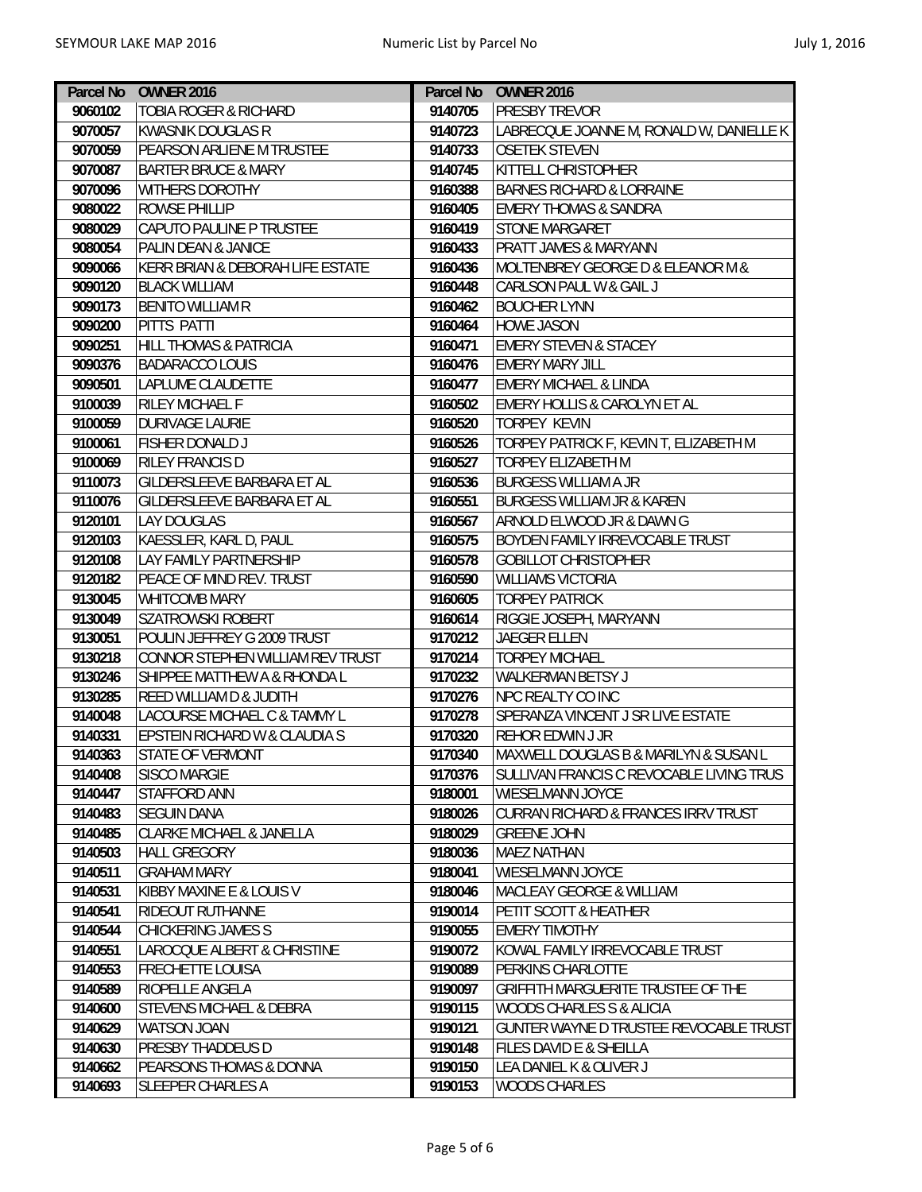| Parcel No | <b>OWNER 2016</b>                        |         | Parcel No OWNER 2016                     |
|-----------|------------------------------------------|---------|------------------------------------------|
| 9060102   | <b>TOBIA ROGER &amp; RICHARD</b>         | 9140705 | <b>PRESBY TREVOR</b>                     |
| 9070057   | <b>KWASNIK DOUGLAS R</b>                 | 9140723 | LABRECQUE JOANNE M, RONALD W, DANIELLE K |
| 9070059   | PEARSON ARLIENE M TRUSTEE                | 9140733 | <b>OSETEK STEVEN</b>                     |
| 9070087   | <b>BARTER BRUCE &amp; MARY</b>           | 9140745 | KITTELL CHRISTOPHER                      |
| 9070096   | WITHERS DOROTHY                          | 9160388 | <b>BARNES RICHARD &amp; LORRAINE</b>     |
| 9080022   | <b>ROWSE PHILLIP</b>                     | 9160405 | <b>EMERY THOMAS &amp; SANDRA</b>         |
| 9080029   | CAPUTO PAULINE P TRUSTEE                 | 9160419 | <b>STONE MARGARET</b>                    |
| 9080054   | PALIN DEAN & JANICE                      | 9160433 | PRATT JAMES & MARYANN                    |
| 9090066   | KERR BRIAN & DEBORAH LIFE ESTATE         | 9160436 | MOLTENBREY GEORGE D & ELEANOR M &        |
| 9090120   | <b>BLACK WILLIAM</b>                     | 9160448 | CARLSON PAUL W & GAIL J                  |
| 9090173   | <b>BENITO WILLIAM R</b>                  | 9160462 | <b>BOUCHER LYNN</b>                      |
| 9090200   | PITTS PATTI                              | 9160464 | <b>HOWE JASON</b>                        |
| 9090251   | <b>HILL THOMAS &amp; PATRICIA</b>        | 9160471 | <b>EMERY STEVEN &amp; STACEY</b>         |
| 9090376   | <b>BADARACCO LOUIS</b>                   | 9160476 | <b>EMERY MARY JILL</b>                   |
| 9090501   | LAPLUME CLAUDETTE                        | 9160477 | <b>EMERY MICHAEL &amp; LINDA</b>         |
| 9100039   | <b>RILEY MICHAEL F</b>                   | 9160502 | <b>EMERY HOLLIS &amp; CAROLYN ET AL</b>  |
| 9100059   | <b>DURIVAGE LAURIE</b>                   | 9160520 | <b>TORPEY KEVIN</b>                      |
| 9100061   | <b>FISHER DONALD J</b>                   | 9160526 | TORPEY PATRICK F, KEVIN T, ELIZABETH M   |
| 9100069   | <b>RILEY FRANCIS D</b>                   | 9160527 | TORPEY ELIZABETH M                       |
| 9110073   | GILDERSLEEVE BARBARA ET AL               | 9160536 | <b>BURGESS WILLIAM A JR</b>              |
| 9110076   | GILDERSLEEVE BARBARA ET AL               | 9160551 | <b>BURGESS WILLIAM JR &amp; KAREN</b>    |
| 9120101   | <b>LAY DOUGLAS</b>                       | 9160567 | ARNOLD ELWOOD JR & DAWN G                |
| 9120103   | KAESSLER, KARL D, PAUL                   | 9160575 | BOYDEN FAMILY IRREVOCABLE TRUST          |
| 9120108   | LAY FAMILY PARTNERSHIP                   | 9160578 | <b>GOBILLOT CHRISTOPHER</b>              |
| 9120182   | PEACE OF MIND REV. TRUST                 | 9160590 | <b>WILLIAMS VICTORIA</b>                 |
| 9130045   | WHITCOMB MARY                            | 9160605 | <b>TORPEY PATRICK</b>                    |
| 9130049   | <b>SZATROWSKI ROBERT</b>                 | 9160614 | RIGGIE JOSEPH, MARYANN                   |
| 9130051   | POULIN JEFFREY G 2009 TRUST              | 9170212 | JAEGER ELLEN                             |
| 9130218   | CONNOR STEPHEN WILLIAM REV TRUST         | 9170214 | <b>TORPEY MICHAEL</b>                    |
| 9130246   | SHIPPEE MATTHEW A & RHONDA L             | 9170232 | WALKERMAN BETSY J                        |
| 9130285   | REED WILLIAM D & JUDITH                  | 9170276 | NPC REALTY CO INC                        |
| 9140048   | LACOURSE MICHAEL C & TAMMY L             | 9170278 | SPERANZA VINCENT J SR LIVE ESTATE        |
| 9140331   | <b>EPSTEIN RICHARD W &amp; CLAUDIA S</b> | 9170320 | REHOR EDWIN J JR                         |
| 9140363   | STATE OF VERMONT                         | 9170340 | MAXWELL DOUGLAS B & MARILYN & SUSAN L    |
| 9140408   | <b>SISCO MARGIE</b>                      | 9170376 | SULLIVAN FRANCIS C REVOCABLE LIVING TRUS |
| 9140447   | <b>STAFFORD ANN</b>                      | 9180001 | WIESELMANN JOYCE                         |
| 9140483   | <b>SEGUIN DANA</b>                       | 9180026 | CURRAN RICHARD & FRANCES IRRV TRUST      |
| 9140485   | <b>CLARKE MICHAEL &amp; JANELLA</b>      | 9180029 | <b>GREENE JOHN</b>                       |
| 9140503   | <b>HALL GREGORY</b>                      | 9180036 | <b>MAEZ NATHAN</b>                       |
| 9140511   | <b>GRAHAM MARY</b>                       | 9180041 | WIESELMANN JOYCE                         |
| 9140531   | KIBBY MAXINE E & LOUIS V                 | 9180046 | <b>MACLEAY GEORGE &amp; WILLIAM</b>      |
| 9140541   | <b>RIDEOUT RUTHANNE</b>                  | 9190014 | PETIT SCOTT & HEATHER                    |
| 9140544   | <b>CHICKERING JAMES S</b>                | 9190055 | <b>EMERY TIMOTHY</b>                     |
| 9140551   | LAROCQUE ALBERT & CHRISTINE              | 9190072 | KOWAL FAMILY IRREVOCABLE TRUST           |
| 9140553   | <b>FRECHETTE LOUISA</b>                  | 9190089 | PERKINS CHARLOTTE                        |
| 9140589   | RIOPELLE ANGELA                          | 9190097 | GRIFFITH MARGUERITE TRUSTEE OF THE       |
| 9140600   | <b>STEVENS MICHAEL &amp; DEBRA</b>       | 9190115 | WOODS CHARLES S & ALICIA                 |
| 9140629   | <b>WATSON JOAN</b>                       | 9190121 | GUNTER WAYNE D TRUSTEE REVOCABLE TRUST   |
| 9140630   | PRESBY THADDEUS D                        | 9190148 | FILES DAVID E & SHEILLA                  |
| 9140662   | PEARSONS THOMAS & DONNA                  | 9190150 | LEA DANIEL K & OLIVER J                  |
| 9140693   | <b>SLEEPER CHARLES A</b>                 | 9190153 | WOODS CHARLES                            |